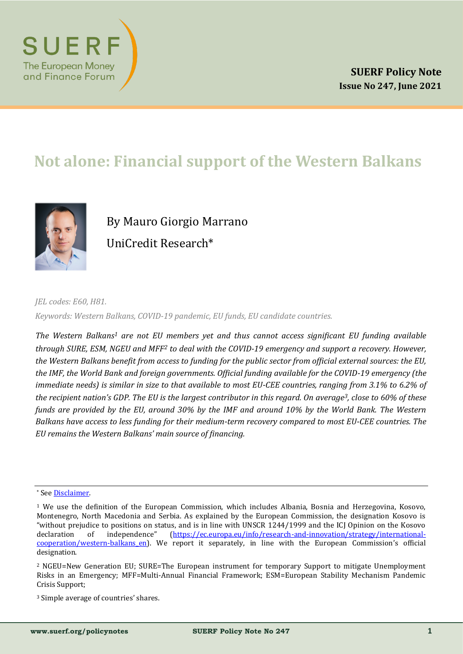

# **Not alone: Financial support of the Western Balkans**



By Mauro Giorgio Marrano UniCredit Research\*

*JEL codes: E60, H81. Keywords: Western Balkans, COVID-19 pandemic, EU funds, EU candidate countries.*

*The Western Balkans<sup>1</sup> are not EU members yet and thus cannot access significant EU funding available through SURE, ESM, NGEU and MFF<sup>2</sup> to deal with the COVID-19 emergency and support a recovery. However, the Western Balkans benefit from access to funding for the public sector from official external sources: the EU, the IMF, the World Bank and foreign governments. Official funding available for the COVID-19 emergency (the immediate needs) is similar in size to that available to most EU-CEE countries, ranging from 3.1% to 6.2% of the recipient nation's GDP. The EU is the largest contributor in this regard. On average3, close to 60% of these funds are provided by the EU, around 30% by the IMF and around 10% by the World Bank. The Western Balkans have access to less funding for their medium-term recovery compared to most EU-CEE countries. The EU remains the Western Balkans' main source of financing.*

<sup>3</sup> Simple average of countries' shares.

<sup>\*</sup> See [Disclaimer.](#page-10-0)

<sup>1</sup> We use the definition of the European Commission, which includes Albania, Bosnia and Herzegovina, Kosovo, Montenegro, North Macedonia and Serbia. As explained by the European Commission, the designation Kosovo is "without prejudice to positions on status, and is in line with UNSCR 1244/1999 and the ICJ Opinion on the Kosovo declaration of independence" ([https://ec.europa.eu/info/research](https://ec.europa.eu/info/research-and-innovation/strategy/international-cooperation/western-balkans_en)-and-innovation/strategy/international[cooperation/western](https://ec.europa.eu/info/research-and-innovation/strategy/international-cooperation/western-balkans_en)-balkans\_en). We report it separately, in line with the European Commission's official designation.

<sup>2</sup> NGEU=New Generation EU; SURE=The European instrument for temporary Support to mitigate Unemployment Risks in an Emergency; MFF=Multi-Annual Financial Framework; ESM=European Stability Mechanism Pandemic Crisis Support;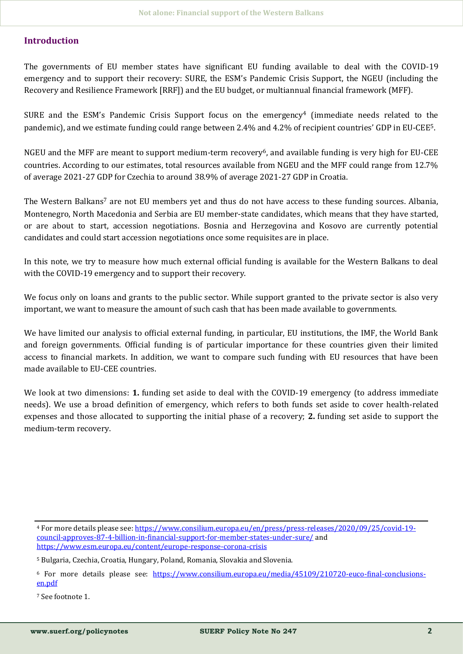# **Introduction**

The governments of EU member states have significant EU funding available to deal with the COVID-19 emergency and to support their recovery: SURE, the ESM's Pandemic Crisis Support, the NGEU (including the Recovery and Resilience Framework [RRF]) and the EU budget, or multiannual financial framework (MFF).

SURE and the ESM's Pandemic Crisis Support focus on the emergency<sup>4</sup> (immediate needs related to the pandemic), and we estimate funding could range between 2.4% and 4.2% of recipient countries' GDP in EU-CEE5.

NGEU and the MFF are meant to support medium-term recovery6, and available funding is very high for EU-CEE countries. According to our estimates, total resources available from NGEU and the MFF could range from 12.7% of average 2021-27 GDP for Czechia to around 38.9% of average 2021-27 GDP in Croatia.

The Western Balkans<sup>7</sup> are not EU members yet and thus do not have access to these funding sources. Albania, Montenegro, North Macedonia and Serbia are EU member-state candidates, which means that they have started, or are about to start, accession negotiations. Bosnia and Herzegovina and Kosovo are currently potential candidates and could start accession negotiations once some requisites are in place.

In this note, we try to measure how much external official funding is available for the Western Balkans to deal with the COVID-19 emergency and to support their recovery.

We focus only on loans and grants to the public sector. While support granted to the private sector is also very important, we want to measure the amount of such cash that has been made available to governments.

We have limited our analysis to official external funding, in particular, EU institutions, the IMF, the World Bank and foreign governments. Official funding is of particular importance for these countries given their limited access to financial markets. In addition, we want to compare such funding with EU resources that have been made available to EU-CEE countries.

We look at two dimensions: **1.** funding set aside to deal with the COVID-19 emergency (to address immediate needs). We use a broad definition of emergency, which refers to both funds set aside to cover health-related expenses and those allocated to supporting the initial phase of a recovery; **2.** funding set aside to support the medium-term recovery.

<sup>4</sup> For more details please see: [https://www.consilium.europa.eu/en/press/press](https://www.consilium.europa.eu/en/press/press-releases/2020/09/25/covid-19-council-approves-87-4-billion-in-financial-support-for-member-states-under-sure/)-releases/2020/09/25/covid-19 council-[approves](https://www.consilium.europa.eu/en/press/press-releases/2020/09/25/covid-19-council-approves-87-4-billion-in-financial-support-for-member-states-under-sure/)-87-4-billion-in-financial-support-for-member-states-under-sure/ and [https://www.esm.europa.eu/content/europe](https://www.esm.europa.eu/content/europe-response-corona-crisis)-response-corona-crisis

<sup>5</sup> Bulgaria, Czechia, Croatia, Hungary, Poland, Romania, Slovakia and Slovenia.

<sup>6</sup> For more details please see: [https://www.consilium.europa.eu/media/45109/210720](https://www.consilium.europa.eu/media/45109/210720-euco-final-conclusions-en.pdf)-euco-final-conclusions[en.pdf](https://www.consilium.europa.eu/media/45109/210720-euco-final-conclusions-en.pdf) 

<sup>7</sup> See footnote 1.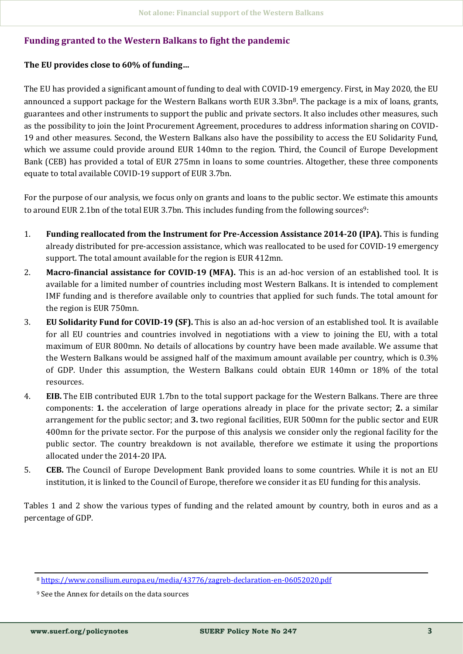### **Funding granted to the Western Balkans to fight the pandemic**

### **The EU provides close to 60% of funding…**

The EU has provided a significant amount of funding to deal with COVID-19 emergency. First, in May 2020, the EU announced a support package for the Western Balkans worth EUR 3.3bn<sup>8</sup>. The package is a mix of loans, grants, guarantees and other instruments to support the public and private sectors. It also includes other measures, such as the possibility to join the Joint Procurement Agreement, procedures to address information sharing on COVID-19 and other measures. Second, the Western Balkans also have the possibility to access the EU Solidarity Fund, which we assume could provide around EUR 140mn to the region. Third, the Council of Europe Development Bank (CEB) has provided a total of EUR 275mn in loans to some countries. Altogether, these three components equate to total available COVID-19 support of EUR 3.7bn.

For the purpose of our analysis, we focus only on grants and loans to the public sector. We estimate this amounts to around EUR 2.1bn of the total EUR 3.7bn. This includes funding from the following sources<sup>9</sup>:

- 1. **Funding reallocated from the Instrument for Pre-Accession Assistance 2014-20 (IPA).** This is funding already distributed for pre-accession assistance, which was reallocated to be used for COVID-19 emergency support. The total amount available for the region is EUR 412mn.
- 2. **Macro-financial assistance for COVID-19 (MFA).** This is an ad-hoc version of an established tool. It is available for a limited number of countries including most Western Balkans. It is intended to complement IMF funding and is therefore available only to countries that applied for such funds. The total amount for the region is EUR 750mn.
- 3. **EU Solidarity Fund for COVID-19 (SF).** This is also an ad-hoc version of an established tool. It is available for all EU countries and countries involved in negotiations with a view to joining the EU, with a total maximum of EUR 800mn. No details of allocations by country have been made available. We assume that the Western Balkans would be assigned half of the maximum amount available per country, which is 0.3% of GDP. Under this assumption, the Western Balkans could obtain EUR 140mn or 18% of the total resources.
- 4. **EIB.** The EIB contributed EUR 1.7bn to the total support package for the Western Balkans. There are three components: **1.** the acceleration of large operations already in place for the private sector; **2.** a similar arrangement for the public sector; and **3.** two regional facilities, EUR 500mn for the public sector and EUR 400mn for the private sector. For the purpose of this analysis we consider only the regional facility for the public sector. The country breakdown is not available, therefore we estimate it using the proportions allocated under the 2014-20 IPA.
- 5. **CEB.** The Council of Europe Development Bank provided loans to some countries. While it is not an EU institution, it is linked to the Council of Europe, therefore we consider it as EU funding for this analysis.

Tables 1 and 2 show the various types of funding and the related amount by country, both in euros and as a percentage of GDP.

<sup>8</sup> [https://www.consilium.europa.eu/media/43776/zagreb](https://www.consilium.europa.eu/media/43776/zagreb-declaration-en-06052020.pdf)-declaration-en-06052020.pdf

<sup>9</sup> See the Annex for details on the data sources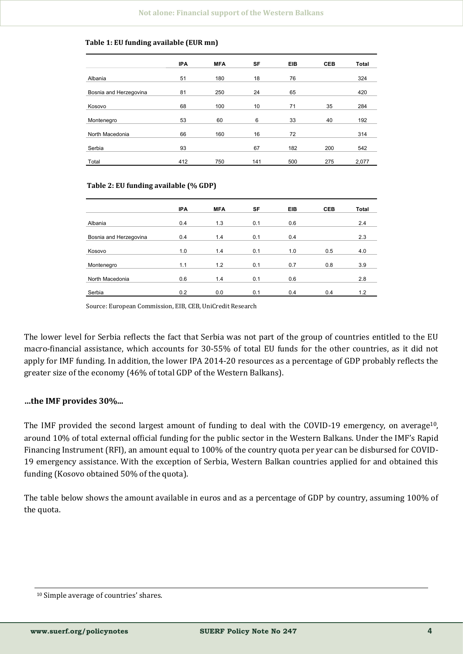#### **Table 1: EU funding available (EUR mn)**

| <b>IPA</b> | <b>MFA</b>      | SF         | <b>EIB</b>      | <b>CEB</b>       | <b>Total</b> |
|------------|-----------------|------------|-----------------|------------------|--------------|
| 51         | 180             | 18         | 76              |                  | 324          |
| 81         | 250             | 24         | 65              |                  | 420          |
| 68         | 100             | 10         | 71              | 35               | 284          |
| 53         | 60              | 6          | 33              | 40               | 192          |
|            |                 |            |                 |                  | 314          |
|            |                 |            |                 |                  | 542          |
|            |                 |            |                 |                  | 2,077        |
|            | 66<br>93<br>412 | 160<br>750 | 16<br>67<br>141 | 72<br>182<br>500 | 200<br>275   |

#### **Table 2: EU funding available (% GDP)**

|                        | <b>IPA</b> | <b>MFA</b> | SF  | <b>EIB</b> | <b>CEB</b> | <b>Total</b> |
|------------------------|------------|------------|-----|------------|------------|--------------|
|                        |            |            |     |            |            |              |
| Albania                | 0.4        | 1.3        | 0.1 | 0.6        |            | 2.4          |
|                        |            |            |     |            |            |              |
| Bosnia and Herzegovina | 0.4        | 1.4        | 0.1 | 0.4        |            | 2.3          |
|                        |            |            |     |            |            |              |
| Kosovo                 | 1.0        | 1.4        | 0.1 | 1.0        | 0.5        | 4.0          |
|                        |            |            |     |            |            |              |
| Montenegro             | 1.1        | 1.2        | 0.1 | 0.7        | 0.8        | 3.9          |
|                        |            |            |     |            |            |              |
| North Macedonia        | 0.6        | 1.4        | 0.1 | 0.6        |            | 2.8          |
|                        |            |            |     |            |            |              |
| Serbia                 | 0.2        | 0.0        | 0.1 | 0.4        | 0.4        | 1.2          |

Source: European Commission, EIB, CEB, UniCredit Research

The lower level for Serbia reflects the fact that Serbia was not part of the group of countries entitled to the EU macro-financial assistance, which accounts for 30-55% of total EU funds for the other countries, as it did not apply for IMF funding. In addition, the lower IPA 2014-20 resources as a percentage of GDP probably reflects the greater size of the economy (46% of total GDP of the Western Balkans).

### **…the IMF provides 30%...**

The IMF provided the second largest amount of funding to deal with the COVID-19 emergency, on average<sup>10</sup>, around 10% of total external official funding for the public sector in the Western Balkans. Under the IMF's Rapid Financing Instrument (RFI), an amount equal to 100% of the country quota per year can be disbursed for COVID-19 emergency assistance. With the exception of Serbia, Western Balkan countries applied for and obtained this funding (Kosovo obtained 50% of the quota).

The table below shows the amount available in euros and as a percentage of GDP by country, assuming 100% of the quota.

<sup>10</sup> Simple average of countries' shares.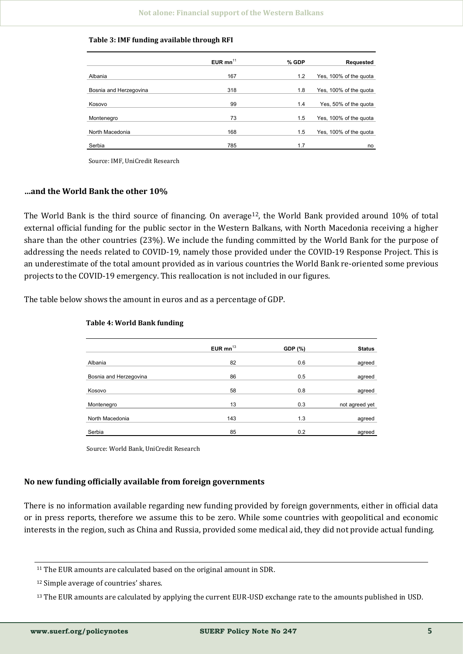|                        | EUR $mn^{11}$ | % GDP | <b>Requested</b>       |
|------------------------|---------------|-------|------------------------|
| Albania                | 167           | 1.2   | Yes, 100% of the quota |
|                        |               |       |                        |
| Bosnia and Herzegovina | 318           | 1.8   | Yes, 100% of the quota |
| Kosovo                 | 99            | 1.4   | Yes, 50% of the quota  |
| Montenegro             | 73            | 1.5   | Yes, 100% of the quota |
| North Macedonia        | 168           | 1.5   | Yes, 100% of the quota |
| Serbia                 | 785           | 1.7   | no                     |

**Table 3: IMF funding available through RFI**

Source: IMF, UniCredit Research

#### **…and the World Bank the other 10%**

The World Bank is the third source of financing. On average  $12$ , the World Bank provided around 10% of total external official funding for the public sector in the Western Balkans, with North Macedonia receiving a higher share than the other countries (23%). We include the funding committed by the World Bank for the purpose of addressing the needs related to COVID-19, namely those provided under the COVID-19 Response Project. This is an underestimate of the total amount provided as in various countries the World Bank re-oriented some previous projects to the COVID-19 emergency. This reallocation is not included in our figures.

The table below shows the amount in euros and as a percentage of GDP.

|                        | EUR $mn^{13}$ | <b>GDP</b> (%) | <b>Status</b>  |
|------------------------|---------------|----------------|----------------|
|                        |               |                |                |
| Albania                | 82            | 0.6            | agreed         |
|                        |               |                |                |
| Bosnia and Herzegovina | 86            | 0.5            | agreed         |
|                        |               |                |                |
| Kosovo                 | 58            | 0.8            | agreed         |
|                        |               |                |                |
| Montenegro             | 13            | 0.3            | not agreed yet |
|                        |               |                |                |
| North Macedonia        | 143           | 1.3            | agreed         |
|                        |               |                |                |
| Serbia                 | 85            | 0.2            | agreed         |

#### **Table 4: World Bank funding**

Source: World Bank, UniCredit Research

### **No new funding officially available from foreign governments**

There is no information available regarding new funding provided by foreign governments, either in official data or in press reports, therefore we assume this to be zero. While some countries with geopolitical and economic interests in the region, such as China and Russia, provided some medical aid, they did not provide actual funding.

<sup>&</sup>lt;sup>11</sup> The EUR amounts are calculated based on the original amount in SDR.

<sup>12</sup> Simple average of countries' shares.

<sup>13</sup> The EUR amounts are calculated by applying the current EUR-USD exchange rate to the amounts published in USD.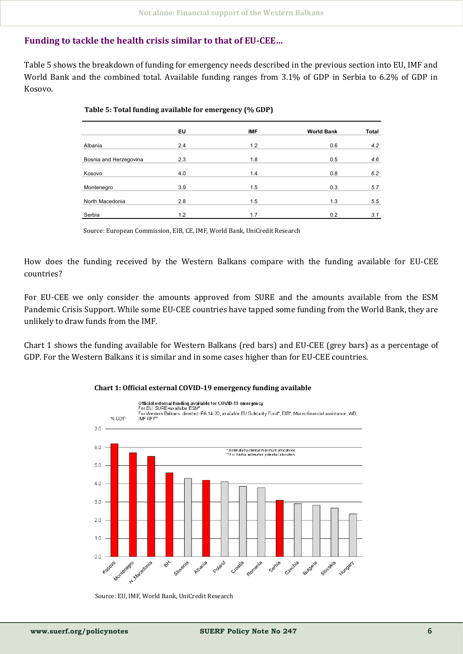### **Funding to tackle the health crisis similar to that of EU-CEE…**

Table 5 shows the breakdown of funding for emergency needs described in the previous section into EU, IMF and World Bank and the combined total. Available funding ranges from 3.1% of GDP in Serbia to 6.2% of GDP in Kosovo.

|                        | EU  | <b>IMF</b> | <b>World Bank</b> | <b>Total</b> |
|------------------------|-----|------------|-------------------|--------------|
| Albania                | 2.4 | 1.2        | 0.6               | 4.2          |
| Bosnia and Herzegovina | 2.3 | 1.8        | 0.5               | 4.6          |
| Kosovo                 | 4.0 | 1.4        | 0.8               | 6.2          |
| Montenegro             | 3.9 | 1.5        | 0.3               | 5.7          |
| North Macedonia        | 2.8 | 1.5        | 1.3               | 5.5          |
| Serbia                 | 1.2 | 1.7        | 0.2               | 3.1          |

#### **Table 5: Total funding available for emergency (% GDP)**

Source: European Commission, EIB, CE, IMF, World Bank, UniCredit Research

How does the funding received by the Western Balkans compare with the funding available for EU-CEE countries?

For EU-CEE we only consider the amounts approved from SURE and the amounts available from the ESM Pandemic Crisis Support. While some EU-CEE countries have tapped some funding from the World Bank, they are unlikely to draw funds from the IMF.

Chart 1 shows the funding available for Western Balkans (red bars) and EU-CEE (grey bars) as a percentage of GDP. For the Western Balkans it is similar and in some cases higher than for EU-CEE countries.



#### **Chart 1: Official external COVID-19 emergency funding available**

Source: EU, IMF, World Bank, UniCredit Research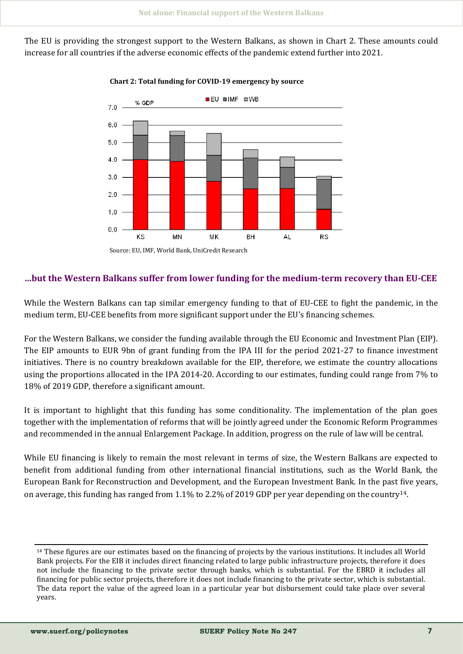The EU is providing the strongest support to the Western Balkans, as shown in Chart 2. These amounts could increase for all countries if the adverse economic effects of the pandemic extend further into 2021.



### **Chart 2: Total funding for COVID-19 emergency by source**

# **…but the Western Balkans suffer from lower funding for the medium-term recovery than EU-CEE**

While the Western Balkans can tap similar emergency funding to that of EU-CEE to fight the pandemic, in the medium term, EU-CEE benefits from more significant support under the EU's financing schemes.

For the Western Balkans, we consider the funding available through the EU Economic and Investment Plan (EIP). The EIP amounts to EUR 9bn of grant funding from the IPA III for the period 2021-27 to finance investment initiatives. There is no country breakdown available for the EIP, therefore, we estimate the country allocations using the proportions allocated in the IPA 2014-20. According to our estimates, funding could range from 7% to 18% of 2019 GDP, therefore a significant amount.

It is important to highlight that this funding has some conditionality. The implementation of the plan goes together with the implementation of reforms that will be jointly agreed under the Economic Reform Programmes and recommended in the annual Enlargement Package. In addition, progress on the rule of law will be central.

While EU financing is likely to remain the most relevant in terms of size, the Western Balkans are expected to benefit from additional funding from other international financial institutions, such as the World Bank, the European Bank for Reconstruction and Development, and the European Investment Bank. In the past five years, on average, this funding has ranged from 1.1% to 2.2% of 2019 GDP per year depending on the country14.

<sup>14</sup> These figures are our estimates based on the financing of projects by the various institutions. It includes all World Bank projects. For the EIB it includes direct financing related to large public infrastructure projects, therefore it does not include the financing to the private sector through banks, which is substantial. For the EBRD it includes all financing for public sector projects, therefore it does not include financing to the private sector, which is substantial. The data report the value of the agreed loan in a particular year but disbursement could take place over several years.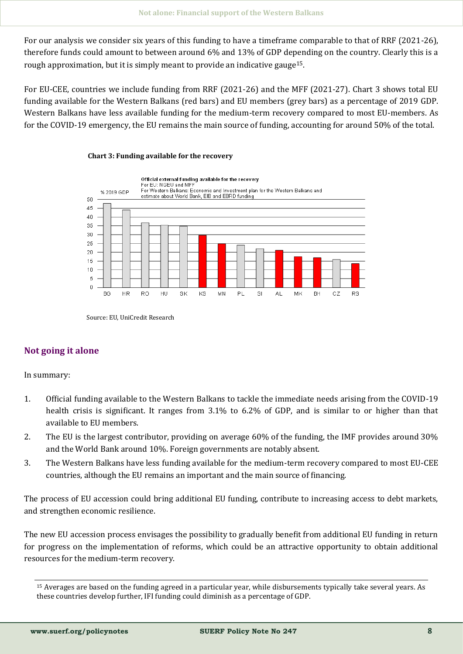For our analysis we consider six years of this funding to have a timeframe comparable to that of RRF (2021-26), therefore funds could amount to between around 6% and 13% of GDP depending on the country. Clearly this is a rough approximation, but it is simply meant to provide an indicative gauge15.

For EU-CEE, countries we include funding from RRF (2021-26) and the MFF (2021-27). Chart 3 shows total EU funding available for the Western Balkans (red bars) and EU members (grey bars) as a percentage of 2019 GDP. Western Balkans have less available funding for the medium-term recovery compared to most EU-members. As for the COVID-19 emergency, the EU remains the main source of funding, accounting for around 50% of the total.



#### **Chart 3: Funding available for the recovery**

Source: EU, UniCredit Research

# **Not going it alone**

In summary:

- 1. Official funding available to the Western Balkans to tackle the immediate needs arising from the COVID-19 health crisis is significant. It ranges from 3.1% to 6.2% of GDP, and is similar to or higher than that available to EU members.
- 2. The EU is the largest contributor, providing on average 60% of the funding, the IMF provides around 30% and the World Bank around 10%. Foreign governments are notably absent.
- 3. The Western Balkans have less funding available for the medium-term recovery compared to most EU-CEE countries, although the EU remains an important and the main source of financing.

The process of EU accession could bring additional EU funding, contribute to increasing access to debt markets, and strengthen economic resilience.

The new EU accession process envisages the possibility to gradually benefit from additional EU funding in return for progress on the implementation of reforms, which could be an attractive opportunity to obtain additional resources for the medium-term recovery.

<sup>15</sup> Averages are based on the funding agreed in a particular year, while disbursements typically take several years. As these countries develop further, IFI funding could diminish as a percentage of GDP.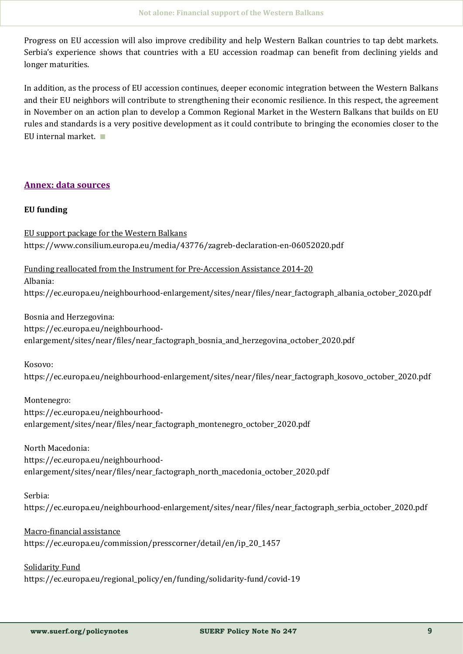Progress on EU accession will also improve credibility and help Western Balkan countries to tap debt markets. Serbia's experience shows that countries with a EU accession roadmap can benefit from declining yields and longer maturities.

In addition, as the process of EU accession continues, deeper economic integration between the Western Balkans and their EU neighbors will contribute to strengthening their economic resilience. In this respect, the agreement in November on an action plan to develop a Common Regional Market in the Western Balkans that builds on EU rules and standards is a very positive development as it could contribute to bringing the economies closer to the EU internal market. ∎

# **Annex: data sources**

### **EU funding**

EU support package for the Western Balkans https://www.consilium.europa.eu/media/43776/zagreb-declaration-en-06052020.pdf

Funding reallocated from the Instrument for Pre-Accession Assistance 2014-20

Albania:

https://ec.europa.eu/neighbourhood-enlargement/sites/near/files/near\_factograph\_albania\_october\_2020.pdf

Bosnia and Herzegovina: https://ec.europa.eu/neighbourhoodenlargement/sites/near/files/near factograph bosnia and herzegovina october 2020.pdf

Kosovo:

https://ec.europa.eu/neighbourhood-enlargement/sites/near/files/near\_factograph\_kosovo\_october\_2020.pdf

Montenegro: https://ec.europa.eu/neighbourhoodenlargement/sites/near/files/near\_factograph\_montenegro\_october\_2020.pdf

North Macedonia:

https://ec.europa.eu/neighbourhoodenlargement/sites/near/files/near factograph\_north\_macedonia\_october\_2020.pdf

Serbia:

https://ec.europa.eu/neighbourhood-enlargement/sites/near/files/near\_factograph\_serbia\_october\_2020.pdf

# Macro-financial assistance

https://ec.europa.eu/commission/presscorner/detail/en/ip\_20\_1457

Solidarity Fund https://ec.europa.eu/regional\_policy/en/funding/solidarity-fund/covid-19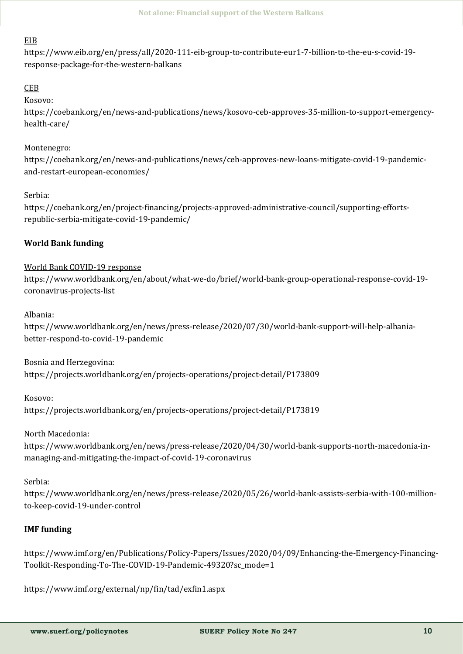# EIB

https://www.eib.org/en/press/all/2020-111-eib-group-to-contribute-eur1-7-billion-to-the-eu-s-covid-19 response-package-for-the-western-balkans

# **CEB**

Kosovo:

https://coebank.org/en/news-and-publications/news/kosovo-ceb-approves-35-million-to-support-emergencyhealth-care/

# Montenegro:

https://coebank.org/en/news-and-publications/news/ceb-approves-new-loans-mitigate-covid-19-pandemicand-restart-european-economies/

# Serbia:

https://coebank.org/en/project-financing/projects-approved-administrative-council/supporting-effortsrepublic-serbia-mitigate-covid-19-pandemic/

# **World Bank funding**

# World Bank COVID-19 response

https://www.worldbank.org/en/about/what-we-do/brief/world-bank-group-operational-response-covid-19 coronavirus-projects-list

# Albania:

https://www.worldbank.org/en/news/press-release/2020/07/30/world-bank-support-will-help-albaniabetter-respond-to-covid-19-pandemic

Bosnia and Herzegovina:

https://projects.worldbank.org/en/projects-operations/project-detail/P173809

Kosovo:

https://projects.worldbank.org/en/projects-operations/project-detail/P173819

# North Macedonia:

https://www.worldbank.org/en/news/press-release/2020/04/30/world-bank-supports-north-macedonia-inmanaging-and-mitigating-the-impact-of-covid-19-coronavirus

Serbia:

https://www.worldbank.org/en/news/press-release/2020/05/26/world-bank-assists-serbia-with-100-millionto-keep-covid-19-under-control

# **IMF funding**

https://www.imf.org/en/Publications/Policy-Papers/Issues/2020/04/09/Enhancing-the-Emergency-Financing-Toolkit-Responding-To-The-COVID-19-Pandemic-49320?sc\_mode=1

https://www.imf.org/external/np/fin/tad/exfin1.aspx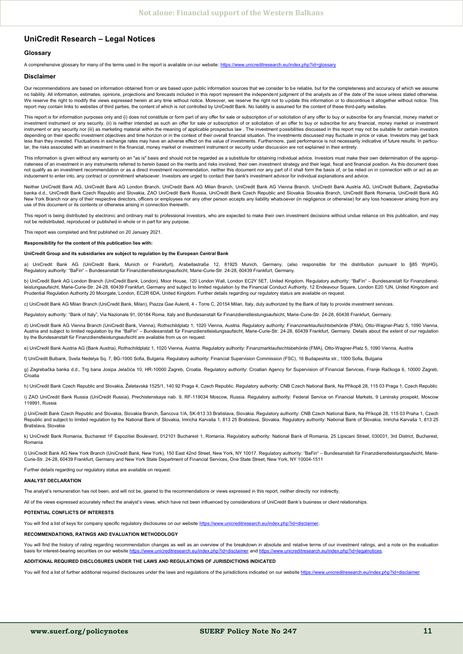#### <span id="page-10-0"></span>**UniCredit Research – Legal Notices**

#### **Glossary**

A comprehensive glossary for many of the terms used in the report is available on our website: <https://www.unicreditresearch.eu/index.php?id=glossary>

#### **Disclaimer**

Our recommendations are based on information obtained from or are based upon public information sources that we consider to be reliable, but for the completeness and accuracy of which we assume no liability. All information, estimates, opinions, projections and forecasts included in this report represent the independent judgment of the analysts as of the date of the issue unless stated otherwise. We reserve the right to modify the views expressed herein at any time without notice. Moreover, we reserve the right not to update this information or to discontinue it altogether without notice. This report may contain links to websites of third parties, the content of which is not controlled by UniCredit Bank. No liability is assumed for the content of these third-party websites

This report is for information purposes only and (i) does not constitute or form part of any offer for sale or subscription of or solicitation of any offer to buy or subscribe for any financial, money market or investment instrument or any security, (ii) is neither intended as such an offer for sale or subscription of or solicitation of an offer to buy or subscribe for any financial, money market or investment instrument or any security nor (iii) as marketing material within the meaning of applicable prospectus law . The investment possibilities discussed in this report may not be suitable for certain investors depending on their specific investment objectives and time horizon or in the context of their overall financial situation. The investments discussed may fluctuate in price or value. Investors may get back less than they invested. Fluctuations in exchange rates may have an adverse effect on the value of investments. Furthermore, past performance is not necessarily indicative of future results. In particular, the risks associated with an investment in the financial, money market or investment instrument or security under discussion are not explained in their entirety.

This information is given without any warranty on an "as is" basis and should not be regarded as a substitute for obtaining individual advice. Investors must make their own determination of the appropriateness of an investment in any instruments referred to herein based on the merits and risks involved, their own investment strategy and their legal, fiscal and financial position. As this document does<br>not qualify as an inducement to enter into, any contract or commitment whatsoever. Investors are urged to contact their bank's investment advisor for individual explanations and advice.

Neither UniCredit Bank AG, UniCredit Bank AG London Branch, UniCredit Bank AG Milan Branch, UniCredit Bank AG Vienna Branch, UniCredit Bank Austria AG, UniCredit Bulbank, Zagrebačka banka d.d., UniCredit Bank Czech Republic and Slovakia, ZAO UniCredit Bank Russia, UniCredit Bank Czech Republic and Slovakia Slovakia Branch, UniCredit Bank Romania, UniCredit Bank AG New York Branch nor any of their respective directors, officers or employees nor any other person accepts any liability whatsoever (in negligence or otherwise) for any loss howsoever arising from any use of this document or its contents or otherwise arising in connection therewith.

This report is being distributed by electronic and ordinary mail to professional investors, who are expected to make their own investment decisions without undue reliance on this publication, and may not be redistributed, reproduced or published in whole or in part for any purpose.

This report was completed and first published on 20 January 2021.

**Responsibility for the content of this publication lies with:** 

#### **UniCredit Group and its subsidiaries are subject to regulation by the European Central Bank**

a) UniCredit Bank AG (UniCredit Bank, Munich or Frankfurt), Arabellastraße 12, 81925 Munich, Germany, (also responsible for the distribution pursuant to §85 WpHG). Regulatory authority: "BaFin" – Bundesanstalt für Finanzdienstleistungsaufsicht, Marie-Curie-Str. 24-28, 60439 Frankfurt, Germany.

b) UniCredit Bank AG London Branch (UniCredit Bank, London), Moor House, 120 London Wall, London EC2Y 5ET, United Kingdom. Regulatory authority: "BaFin" – Bundesanstalt für Finanzdienstleistungsaufsicht, Marie-Curie-Str. 24-28, 60439 Frankfurt, Germany and subject to limited regulation by the Financial Conduct Authority, 12 Endeavour Square, London E20 1JN, United Kingdom and Prudential Regulation Authority 20 Moorgate, London, EC2R 6DA, United Kingdom. Further details regarding our regulatory status are available on request.

c) UniCredit Bank AG Milan Branch (UniCredit Bank, Milan), Piazza Gae Aulenti, 4 - Torre C, 20154 Milan, Italy, duly authorized by the Bank of Italy to provide investment services.

Regulatory authority: "Bank of Italy", Via Nazionale 91, 00184 Roma, Italy and Bundesanstalt für Finanzdienstleistungsaufsicht, Marie-Curie-Str. 24-28, 60439 Frankfurt, Germany.

d) UniCredit Bank AG Vienna Branch (UniCredit Bank, Vienna), Rothschildplatz 1, 1020 Vienna, Austria, Regulatory authority: Finanzmarktaufsichtsbehörde (FMA), Otto-Wagner-Platz 5, 1090 Vienna, Austria and subject to limited regulation by the "BaFin" – Bundesanstalt für Finanzdienstleistungsaufsicht, Marie-Curie-Str. 24-28, 60439 Frankfurt, Germany. Details about the extent of our regulation by the Bundesanstalt für Finanzdienstleistungsaufsicht are available from us on request.

e) UniCredit Bank Austria AG (Bank Austria), Rothschildplatz 1, 1020 Vienna, Austria. Regulatory authority: Finanzmarktaufsichtsbehörde (FMA), Otto-Wagner-Platz 5, 1090 Vienna, Austria

f) UniCredit Bulbank, Sveta Nedelya Sq. 7, BG-1000 Sofia, Bulgaria. Regulatory authority: Financial Supervision Commission (FSC), 16 Budapeshta str., 1000 Sofia, Bulgaria

g) Zagrebačka banka d.d., Trg bana Josipa Jelačića 10, HR-10000 Zagreb, Croatia. Regulatory authority: Croatian Agency for Supervision of Financial Services, Franje Račkoga 6, 10000 Zagreb, Croatia

h) UniCredit Bank Czech Republic and Slovakia, Želetavská 1525/1, 140 92 Praga 4, Czech Republic. Regulatory authority: CNB Czech National Bank, Na Příkopě 28, 115 03 Praga 1, Czech Republic

i) ZAO UniCredit Bank Russia (UniCredit Russia), Prechistenskaya nab. 9, RF-119034 Moscow, Russia. Regulatory authority: Federal Service on Financial Markets, 9 Leninsky prospekt, Moscow 119991, Russia

j) UniCredit Bank Czech Republic and Slovakia, Slovakia Branch, Šancova 1/A, SK-813 33 Bratislava, Slovakia. Regulatory authority: CNB Czech National Bank, Na Příkopě 28, 115 03 Praha 1, Czech Republic and subject to limited regulation by the National Bank of Slovakia, Imricha Karvaša 1, 813 25 Bratislava, Slovakia. Regulatory authority: National Bank of Slovakia, Imricha Karvaša 1, 813 25 Bratislava, Slovakia

k) UniCredit Bank Romania, Bucharest 1F Expozitiei Boulevard, 012101 Bucharest 1, Romania. Regulatory authority: National Bank of Romania, 25 Lipscani Street, 030031, 3rd District, Bucharest, Romania

l) UniCredit Bank AG New York Branch (UniCredit Bank, New York), 150 East 42nd Street, New York, NY 10017. Regulatory authority: "BaFin" – Bundesanstalt für Finanzdienstleistungsaufsicht, Marie-Curie-Str. 24-28, 60439 Frankfurt, Germany and New York State Department of Financial Services, One State Street, New York, NY 10004-1511

Further details regarding our regulatory status are available on request.

#### **ANALYST DECLARATION**

The analyst's remuneration has not been, and will not be, geared to the recommendations or views expressed in this report, neither directly nor indirectly.

All of the views expressed accurately reflect the analyst's views, which have not been influenced by considerations of UniCredit Bank's business or client relationships.

#### **POTENTIAL CONFLICTS OF INTERESTS**

You will find a list of keys for company specific regulatory disclosures on our website [https://www.unicreditresearch.eu/index.php?id=disclaimer.](https://www.unicreditresearch.eu/index.php?id=disclaimer)

#### **RECOMMENDATIONS, RATINGS AND EVALUATION METHODOLOGY**

You will find the history of rating regarding recommendation changes as well as an overview of the breakdown in absolute and relative terms of our investment ratings, and a note on the evaluation basis for interest-bearing securities on our website <https://www.unicreditresearch.eu/index.php?id=disclaimer> and https://www.un

**ADDITIONAL REQUIRED DISCLOSURES UNDER THE LAWS AND REGULATIONS OF JURISDICTIONS INDICATED**

You will find a list of further additional required disclosures under the laws and regulations of the jurisdictions indicated on our website https://www.unicreditresearch.eu/index.php?id=disclai